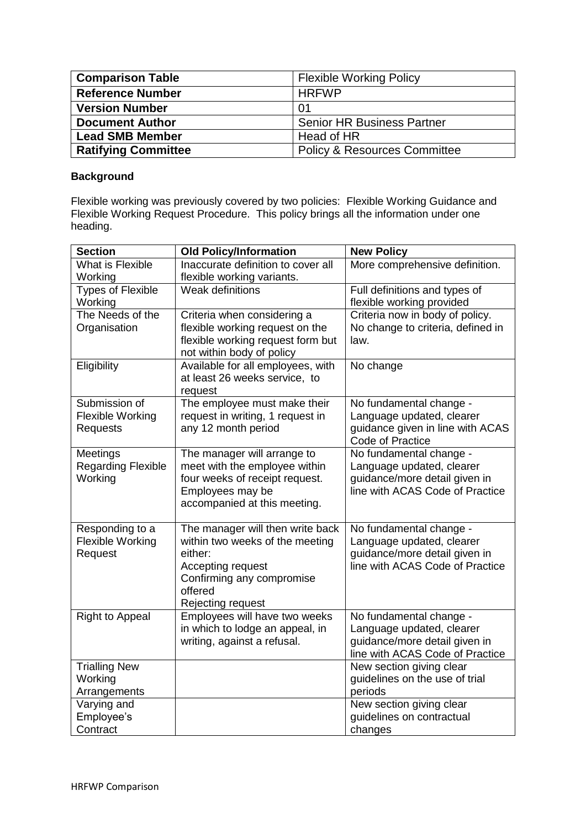| <b>Comparison Table</b>    | <b>Flexible Working Policy</b>          |
|----------------------------|-----------------------------------------|
| <b>Reference Number</b>    | <b>HRFWP</b>                            |
| <b>Version Number</b>      | -01                                     |
| <b>Document Author</b>     | <b>Senior HR Business Partner</b>       |
| <b>Lead SMB Member</b>     | Head of HR                              |
| <b>Ratifying Committee</b> | <b>Policy &amp; Resources Committee</b> |

## **Background**

Flexible working was previously covered by two policies: Flexible Working Guidance and Flexible Working Request Procedure. This policy brings all the information under one heading.

| <b>Section</b>                                              | <b>Old Policy/Information</b>                                                                                                                                    | <b>New Policy</b>                                                                                                        |
|-------------------------------------------------------------|------------------------------------------------------------------------------------------------------------------------------------------------------------------|--------------------------------------------------------------------------------------------------------------------------|
| What is Flexible<br>Working                                 | Inaccurate definition to cover all<br>flexible working variants.                                                                                                 | More comprehensive definition.                                                                                           |
| <b>Types of Flexible</b><br>Working                         | Weak definitions                                                                                                                                                 | Full definitions and types of<br>flexible working provided                                                               |
| The Needs of the<br>Organisation                            | Criteria when considering a<br>flexible working request on the<br>flexible working request form but<br>not within body of policy                                 | Criteria now in body of policy.<br>No change to criteria, defined in<br>law.                                             |
| Eligibility                                                 | Available for all employees, with<br>at least 26 weeks service, to<br>request                                                                                    | No change                                                                                                                |
| Submission of<br><b>Flexible Working</b><br><b>Requests</b> | The employee must make their<br>request in writing, 1 request in<br>any 12 month period                                                                          | No fundamental change -<br>Language updated, clearer<br>guidance given in line with ACAS<br>Code of Practice             |
| Meetings<br><b>Regarding Flexible</b><br>Working            | The manager will arrange to<br>meet with the employee within<br>four weeks of receipt request.<br>Employees may be<br>accompanied at this meeting.               | No fundamental change -<br>Language updated, clearer<br>guidance/more detail given in<br>line with ACAS Code of Practice |
| Responding to a<br>Flexible Working<br>Request              | The manager will then write back<br>within two weeks of the meeting<br>either:<br>Accepting request<br>Confirming any compromise<br>offered<br>Rejecting request | No fundamental change -<br>Language updated, clearer<br>guidance/more detail given in<br>line with ACAS Code of Practice |
| <b>Right to Appeal</b>                                      | Employees will have two weeks<br>in which to lodge an appeal, in<br>writing, against a refusal.                                                                  | No fundamental change -<br>Language updated, clearer<br>guidance/more detail given in<br>line with ACAS Code of Practice |
| <b>Trialling New</b><br>Working<br>Arrangements             |                                                                                                                                                                  | New section giving clear<br>guidelines on the use of trial<br>periods                                                    |
| Varying and<br>Employee's<br>Contract                       |                                                                                                                                                                  | New section giving clear<br>guidelines on contractual<br>changes                                                         |